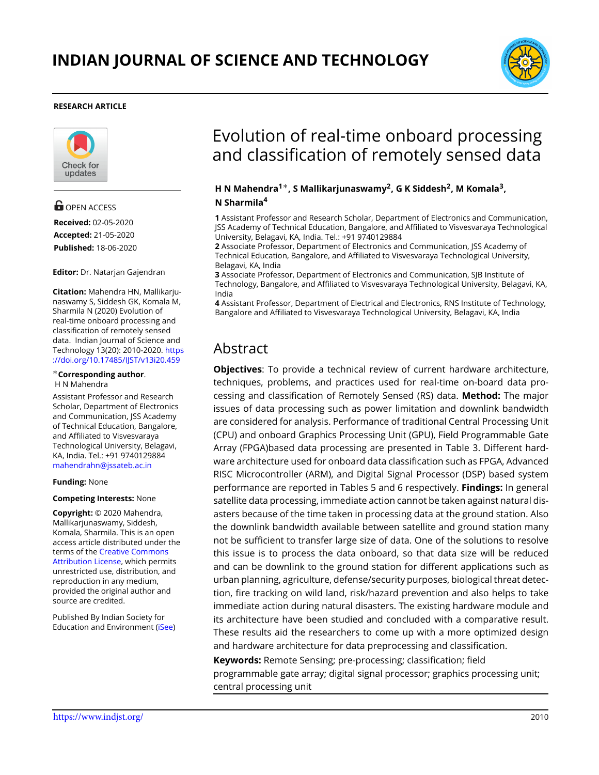

### **RESEARCH ARTICLE**



# **OPEN ACCESS**

**Received:** 02-05-2020 **Accepted:** 21-05-2020 **Published:** 18-06-2020

**Editor:** Dr. Natarjan Gajendran

**Citation:** Mahendra HN, Mallikarjunaswamy S, Siddesh GK, Komala M, Sharmila N (2020) Evolution of real-time onboard processing and classification of remotely sensed data. Indian Journal of Science and Technology 13(20): 2010-2020. [https](https://doi.org/10.17485/IJST/v13i20.459) [://doi.org/10.17485/IJST/v13i20.459](https://doi.org/10.17485/IJST/v13i20.459)

#### *∗***Corresponding author**. H N Mahendra

Assistant Professor and Research Scholar, Department of Electronics and Communication, JSS Academy of Technical Education, Bangalore, and Affiliated to Visvesvaraya Technological University, Belagavi, KA, India. Tel.: +91 9740129884 mahendrahn@jssateb.ac.in

### **Funding:** None

### **Competing Interests:** None

**Copyright:** © 2020 Mahendra, Mallikarjunaswamy, Siddesh, Komala, Sharmila. This is an open access article distributed under the terms of the [Creative Commons](https://creativecommons.org/licenses/by/4.0/) [Attribution License,](https://creativecommons.org/licenses/by/4.0/) which permits unrestricted use, distribution, and reproduction in any medium, provided the original author and source are credited.

Published By Indian Society for Education and Environment([iSee\)](www.iseeadyar.org.)

# Evolution of real-time onboard processing and classification of remotely sensed data

### **H N Mahendra<sup>1</sup>***∗***, S Mallikarjunaswamy<sup>2</sup> , G K Siddesh<sup>2</sup> , M Komala<sup>3</sup> , N Sharmila<sup>4</sup>**

**1** Assistant Professor and Research Scholar, Department of Electronics and Communication, JSS Academy of Technical Education, Bangalore, and Affiliated to Visvesvaraya Technological University, Belagavi, KA, India. Tel.: +91 9740129884

**2** Associate Professor, Department of Electronics and Communication, JSS Academy of Technical Education, Bangalore, and Affiliated to Visvesvaraya Technological University, Belagavi, KA, India

**3** Associate Professor, Department of Electronics and Communication, SJB Institute of Technology, Bangalore, and Affiliated to Visvesvaraya Technological University, Belagavi, KA, India

**4** Assistant Professor, Department of Electrical and Electronics, RNS Institute of Technology, Bangalore and Affiliated to Visvesvaraya Technological University, Belagavi, KA, India

# Abstract

**Objectives**: To provide a technical review of current hardware architecture, techniques, problems, and practices used for real-time on-board data processing and classification of Remotely Sensed (RS) data. **Method:** The major issues of data processing such as power limitation and downlink bandwidth are considered for analysis. Performance of traditional Central Processing Unit (CPU) and onboard Graphics Processing Unit (GPU), Field Programmable Gate Array (FPGA)based data processing are presented in Table 3. Different hardware architecture used for onboard data classification such as FPGA, Advanced RISC Microcontroller (ARM), and Digital Signal Processor (DSP) based system performance are reported in Tables 5 and 6 respectively. **Findings:** In general satellite data processing, immediate action cannot be taken against natural disasters because of the time taken in processing data at the ground station. Also the downlink bandwidth available between satellite and ground station many not be sufficient to transfer large size of data. One of the solutions to resolve this issue is to process the data onboard, so that data size will be reduced and can be downlink to the ground station for different applications such as urban planning, agriculture, defense/security purposes, biological threat detection, fire tracking on wild land, risk/hazard prevention and also helps to take immediate action during natural disasters. The existing hardware module and its architecture have been studied and concluded with a comparative result. These results aid the researchers to come up with a more optimized design and hardware architecture for data preprocessing and classification.

**Keywords:** Remote Sensing; pre-processing; classification; field programmable gate array; digital signal processor; graphics processing unit; central processing unit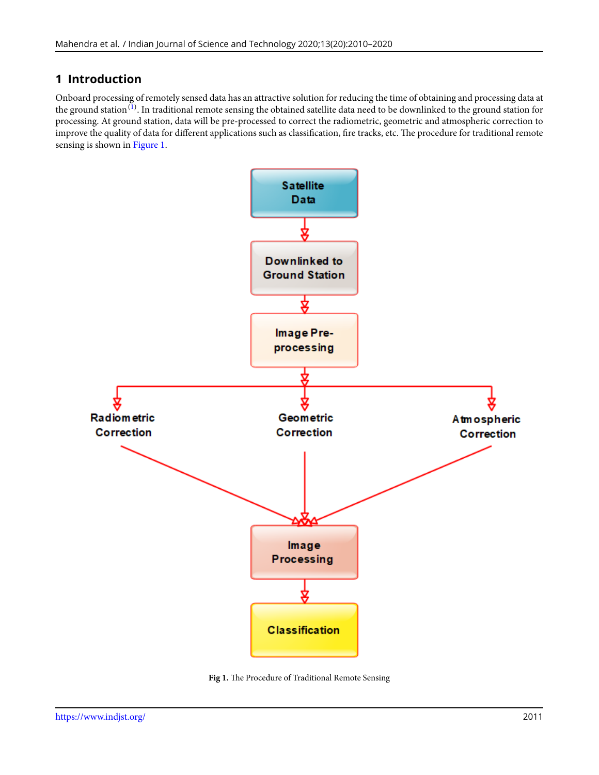# **1 Introduction**

Onboard processing of remotely sensed data has an attractive solution for reducing the time of obtaining and processing data at the ground station $^{(1)}$  $^{(1)}$  $^{(1)}$ . In traditional remote sensing the obtained satellite data need to be downlinked to the ground station for processing. At ground station, data will be pre-processed to correct the radiometric, geometric and atmospheric correction to improve the quality of data for different applications such as classification, fire tracks, etc. The procedure for traditional remote sensing is shown in Figure [1.](#page-1-0)

<span id="page-1-0"></span>

**Fig 1.** The Procedure of Traditional Remote Sensing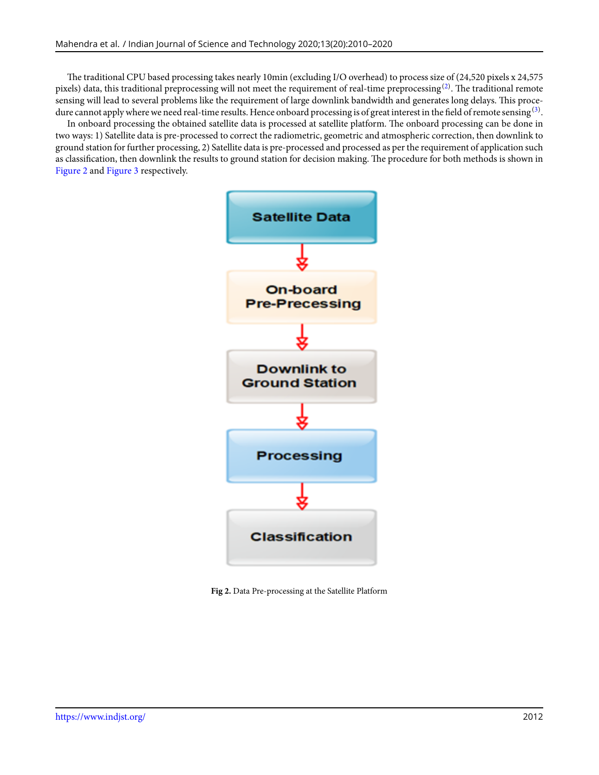The traditional CPU based processing takes nearly 10min (excluding I/O overhead) to process size of (24,520 pixels x 24,575 pixels) data, this traditional preprocessing will not meet the requirement of real-time preprocessing $^{(2)}.$  $^{(2)}.$  $^{(2)}.$  The traditional remote sensing will lead to several problems like the requirement of large downlink bandwidth and generates long delays. This procedure cannot apply where we need real-time results. Hence onboard processing is of great interest in the field of remote sensing  $^{(3)}$  $^{(3)}$  $^{(3)}$ .

<span id="page-2-0"></span>In onboard processing the obtained satellite data is processed at satellite platform. The onboard processing can be done in two ways: 1) Satellite data is pre-processed to correct the radiometric, geometric and atmospheric correction, then downlink to ground station for further processing, 2) Satellite data is pre-processed and processed as per the requirement of application such as classification, then downlink the results to ground station for decision making. The procedure for both methods is shown in Figure [2](#page-2-0) and Figure [3](#page-3-0) respectively.



**Fig 2.** Data Pre-processing at the Satellite Platform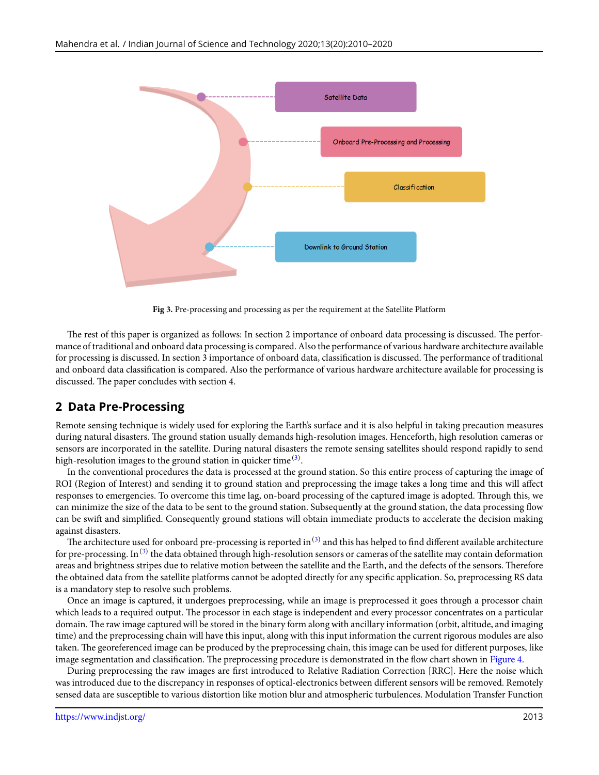<span id="page-3-0"></span>

**Fig 3.** Pre-processing and processing as per the requirement at the Satellite Platform

The rest of this paper is organized as follows: In section 2 importance of onboard data processing is discussed. The performance of traditional and onboard data processing is compared. Also the performance of various hardware architecture available for processing is discussed. In section 3 importance of onboard data, classification is discussed. The performance of traditional and onboard data classification is compared. Also the performance of various hardware architecture available for processing is discussed. The paper concludes with section 4.

# **2 Data Pre-Processing**

Remote sensing technique is widely used for exploring the Earth's surface and it is also helpful in taking precaution measures during natural disasters. The ground station usually demands high-resolution images. Henceforth, high resolution cameras or sensors are incorporated in the satellite. During natural disasters the remote sensing satellites should respond rapidly to send high-resolution images to the ground station in quicker time  $^{(3)}.$  $^{(3)}.$  $^{(3)}.$ 

In the conventional procedures the data is processed at the ground station. So this entire process of capturing the image of ROI (Region of Interest) and sending it to ground station and preprocessing the image takes a long time and this will affect responses to emergencies. To overcome this time lag, on-board processing of the captured image is adopted. Through this, we can minimize the size of the data to be sent to the ground station. Subsequently at the ground station, the data processing flow can be swift and simplified. Consequently ground stations will obtain immediate products to accelerate the decision making against disasters.

The architecture used for onboard pre-processing is reported in  $^{(3)}$  $^{(3)}$  $^{(3)}$  and this has helped to find different available architecture for pre-processing. In <sup>[\(3\)](#page-10-2)</sup> the data obtained through high-resolution sensors or cameras of the satellite may contain deformation areas and brightness stripes due to relative motion between the satellite and the Earth, and the defects of the sensors. Therefore the obtained data from the satellite platforms cannot be adopted directly for any specific application. So, preprocessing RS data is a mandatory step to resolve such problems.

Once an image is captured, it undergoes preprocessing, while an image is preprocessed it goes through a processor chain which leads to a required output. The processor in each stage is independent and every processor concentrates on a particular domain. The raw image captured will be stored in the binary form along with ancillary information (orbit, altitude, and imaging time) and the preprocessing chain will have this input, along with this input information the current rigorous modules are also taken. The georeferenced image can be produced by the preprocessing chain, this image can be used for different purposes, like image segmentation and classification. The preprocessing procedure is demonstrated in the flow chart shown in Figure [4.](#page-4-0)

During preprocessing the raw images are first introduced to Relative Radiation Correction [RRC]. Here the noise which was introduced due to the discrepancy in responses of optical-electronics between different sensors will be removed. Remotely sensed data are susceptible to various distortion like motion blur and atmospheric turbulences. Modulation Transfer Function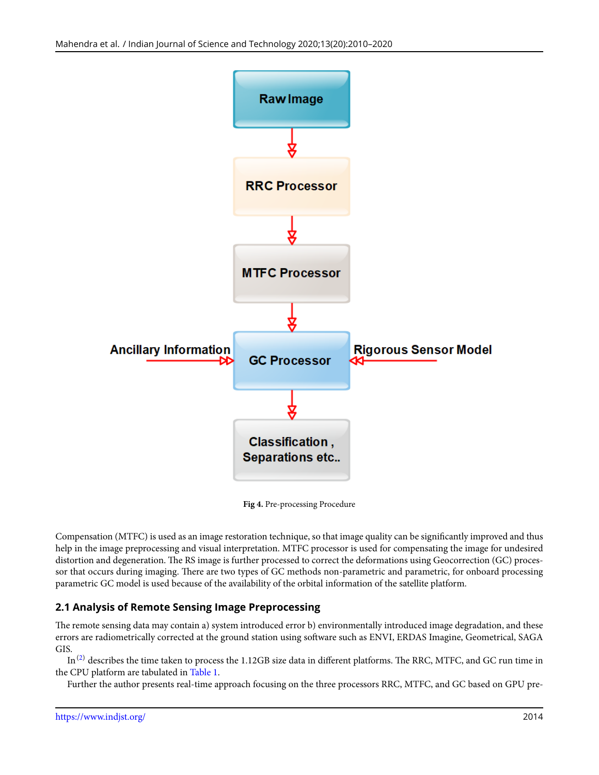<span id="page-4-0"></span>

**Fig 4.** Pre-processing Procedure

Compensation (MTFC) is used as an image restoration technique, so that image quality can be significantly improved and thus help in the image preprocessing and visual interpretation. MTFC processor is used for compensating the image for undesired distortion and degeneration. The RS image is further processed to correct the deformations using Geocorrection (GC) processor that occurs during imaging. There are two types of GC methods non-parametric and parametric, for onboard processing parametric GC model is used because of the availability of the orbital information of the satellite platform.

# **2.1 Analysis of Remote Sensing Image Preprocessing**

The remote sensing data may contain a) system introduced error b) environmentally introduced image degradation, and these errors are radiometrically corrected at the ground station using software such as ENVI, ERDAS Imagine, Geometrical, SAGA GIS.

 $In<sup>(2)</sup>$  $In<sup>(2)</sup>$  $In<sup>(2)</sup>$  describes the time taken to process the 1.12GB size data in different platforms. The RRC, MTFC, and GC run time in the CPU platform are tabulated in Table [1.](#page-5-0)

Further the author presents real-time approach focusing on the three processors RRC, MTFC, and GC based on GPU pre-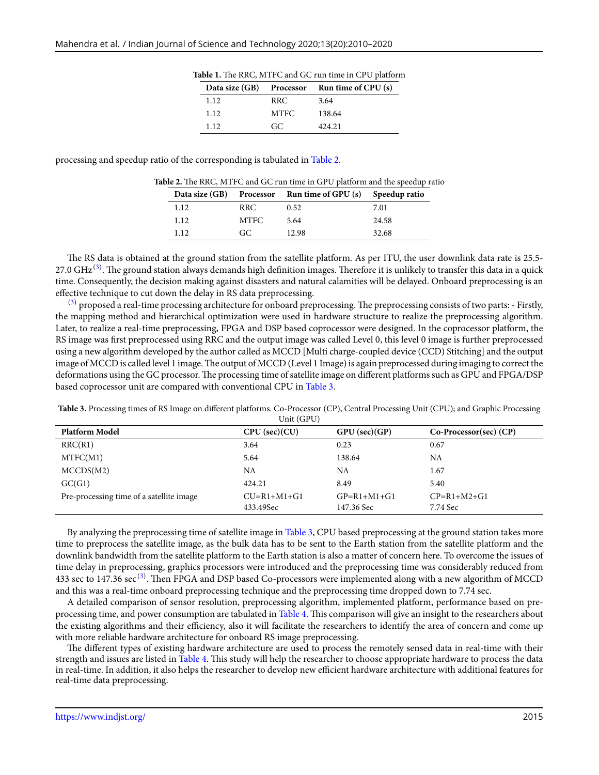| Data size (GB) | Processor | Run time of $CPU(s)$ |
|----------------|-----------|----------------------|
| 1.12           | RRC.      | 3.64                 |
| 1.12           | MTFC.     | 138.64               |
| 1.12           | GC.       | 424.21               |

**Table 1.** The RRC, MTFC and GC run time in CPU platform

<span id="page-5-1"></span><span id="page-5-0"></span>processing and speedup ratio of the corresponding is tabulated in Table [2](#page-5-1).

|       |       | Data size (GB) Processor Run time of GPU (s) Speedup ratio |       |
|-------|-------|------------------------------------------------------------|-------|
| 1.12  | RRC.  | 0.52                                                       | 7.01  |
| 1.12  | MTFC. | 5.64                                                       | 24.58 |
| 1.12. | GC.   | 12.98                                                      | 32.68 |

The RS data is obtained at the ground station from the satellite platform. As per ITU, the user downlink data rate is 25.5- 27.0 GHz  $^{(3)}$  $^{(3)}$  $^{(3)}$ . The ground station always demands high definition images. Therefore it is unlikely to transfer this data in a quick time. Consequently, the decision making against disasters and natural calamities will be delayed. Onboard preprocessing is an effective technique to cut down the delay in RS data preprocessing.

 $(3)$  proposed a real-time processing architecture for onboard preprocessing. The preprocessing consists of two parts: - Firstly, the mapping method and hierarchical optimization were used in hardware structure to realize the preprocessing algorithm. Later, to realize a real-time preprocessing, FPGA and DSP based coprocessor were designed. In the coprocessor platform, the RS image was first preprocessed using RRC and the output image was called Level 0, this level 0 image is further preprocessed using a new algorithm developed by the author called as MCCD [Multi charge-coupled device (CCD) Stitching] and the output image of MCCD is called level 1 image. The output of MCCD (Level 1 Image) is again preprocessed during imaging to correct the deformations using the GC processor. The processing time of satellite image on different platforms such as GPU and FPGA/DSP based coprocessor unit are compared with conventional CPU in Table [3.](#page-5-2)

<span id="page-5-2"></span>**Table 3.** Processing times of RS Image on different platforms. Co-Processor (CP), Central Processing Unit (CPU); and Graphic Processing  $U_{\alpha}$  is (CDU)

| <b>Platform Model</b>                    | CPU (sec)(CU)              | $GPU$ (sec)( $GP$ )         | $Co\text{-}Processor(sec) (CP)$ |
|------------------------------------------|----------------------------|-----------------------------|---------------------------------|
| RRC(R1)                                  | 3.64                       | 0.23                        | 0.67                            |
| MTFC(M1)                                 | 5.64                       | 138.64                      | NA                              |
| MCCDS(M2)                                | NA                         | NA                          | 1.67                            |
| GC(G1)                                   | 424.21                     | 8.49                        | 5.40                            |
| Pre-processing time of a satellite image | $CU=R1+M1+G1$<br>433.49Sec | $GP=R1+M1+G1$<br>147.36 Sec | $CP=R1+M2+G1$<br>7.74 Sec       |

By analyzing the preprocessing time of satellite image in Table [3,](#page-5-2) CPU based preprocessing at the ground station takes more time to preprocess the satellite image, as the bulk data has to be sent to the Earth station from the satellite platform and the downlink bandwidth from the satellite platform to the Earth station is also a matter of concern here. To overcome the issues of time delay in preprocessing, graphics processors were introduced and the preprocessing time was considerably reduced from 433 sec to 147.36 sec<sup>[\(3\)](#page-10-2)</sup>. Then FPGA and DSP based Co-processors were implemented along with a new algorithm of MCCD and this was a real-time onboard preprocessing technique and the preprocessing time dropped down to 7.74 sec.

A detailed comparison of sensor resolution, preprocessing algorithm, implemented platform, performance based on preprocessing time, and power consumption are tabulated in Table [4](#page-5-3). This comparison will give an insight to the researchers about the existing algorithms and their efficiency, also it will facilitate the researchers to identify the area of concern and come up with more reliable hardware architecture for onboard RS image preprocessing.

<span id="page-5-3"></span>The different types of existing hardware architecture are used to process the remotely sensed data in real-time with their strength and issues are listed in Table [4](#page-5-3). This study will help the researcher to choose appropriate hardware to process the data in real-time. In addition, it also helps the researcher to develop new efficient hardware architecture with additional features for real-time data preprocessing.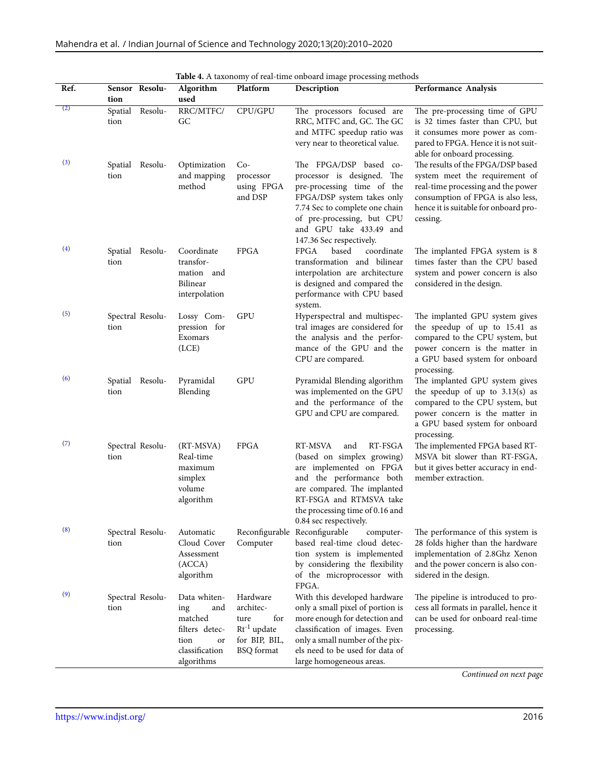|      |                            |                                                                                                       |                                                                                         | Table 4. A taxonomy of ical-time onboard mage processing incurous                                                                                                                                                                       |                                                                                                                                                                                                     |
|------|----------------------------|-------------------------------------------------------------------------------------------------------|-----------------------------------------------------------------------------------------|-----------------------------------------------------------------------------------------------------------------------------------------------------------------------------------------------------------------------------------------|-----------------------------------------------------------------------------------------------------------------------------------------------------------------------------------------------------|
| Ref. | Sensor Resolu-<br>tion     | Algorithm<br>used                                                                                     | Platform                                                                                | Description                                                                                                                                                                                                                             | Performance Analysis                                                                                                                                                                                |
| (2)  | Spatial<br>Resolu-<br>tion | RRC/MTFC/<br>GC                                                                                       | CPU/GPU                                                                                 | The processors focused are<br>RRC, MTFC and, GC. The GC<br>and MTFC speedup ratio was<br>very near to theoretical value.                                                                                                                | The pre-processing time of GPU<br>is 32 times faster than CPU, but<br>it consumes more power as com-<br>pared to FPGA. Hence it is not suit-<br>able for onboard processing.                        |
| (3)  | Spatial Resolu-<br>tion    | Optimization<br>and mapping<br>method                                                                 | $Co-$<br>processor<br>using FPGA<br>and DSP                                             | The FPGA/DSP based co-<br>processor is designed. The<br>pre-processing time of the<br>FPGA/DSP system takes only<br>7.74 Sec to complete one chain<br>of pre-processing, but CPU<br>and GPU take 433.49 and<br>147.36 Sec respectively. | The results of the FPGA/DSP based<br>system meet the requirement of<br>real-time processing and the power<br>consumption of FPGA is also less,<br>hence it is suitable for onboard pro-<br>cessing. |
| (4)  | Spatial<br>Resolu-<br>tion | Coordinate<br>transfor-<br>mation and<br>Bilinear<br>interpolation                                    | <b>FPGA</b>                                                                             | based<br>FPGA<br>coordinate<br>transformation and bilinear<br>interpolation are architecture<br>is designed and compared the<br>performance with CPU based<br>system.                                                                   | The implanted FPGA system is 8<br>times faster than the CPU based<br>system and power concern is also<br>considered in the design.                                                                  |
| (5)  | Spectral Resolu-<br>tion   | Lossy Com-<br>pression for<br>Exomars<br>(ICE)                                                        | GPU                                                                                     | Hyperspectral and multispec-<br>tral images are considered for<br>the analysis and the perfor-<br>mance of the GPU and the<br>CPU are compared.                                                                                         | The implanted GPU system gives<br>the speedup of up to 15.41 as<br>compared to the CPU system, but<br>power concern is the matter in<br>a GPU based system for onboard<br>processing.               |
| (6)  | Spatial<br>Resolu-<br>tion | Pyramidal<br>Blending                                                                                 | GPU                                                                                     | Pyramidal Blending algorithm<br>was implemented on the GPU<br>and the performance of the<br>GPU and CPU are compared.                                                                                                                   | The implanted GPU system gives<br>the speedup of up to $3.13(s)$ as<br>compared to the CPU system, but<br>power concern is the matter in<br>a GPU based system for onboard<br>processing.           |
| (7)  | Spectral Resolu-<br>tion   | (RT-MSVA)<br>Real-time<br>maximum<br>simplex<br>volume<br>algorithm                                   | <b>FPGA</b>                                                                             | RT-MSVA<br>RT-FSGA<br>and<br>(based on simplex growing)<br>are implemented on FPGA<br>and the performance both<br>are compared. The implanted<br>RT-FSGA and RTMSVA take<br>the processing time of 0.16 and<br>0.84 sec respectively.   | The implemented FPGA based RT-<br>MSVA bit slower than RT-FSGA,<br>but it gives better accuracy in end-<br>member extraction.                                                                       |
| (8)  | Spectral Resolu-<br>tion   | Automatic<br>Cloud Cover<br>Assessment<br>(ACCA)<br>algorithm                                         | Reconfigurable<br>Computer                                                              | Reconfigurable<br>computer-<br>based real-time cloud detec-<br>tion system is implemented<br>by considering the flexibility<br>of the microprocessor with<br>FPGA.                                                                      | The performance of this system is<br>28 folds higher than the hardware<br>implementation of 2.8Ghz Xenon<br>and the power concern is also con-<br>sidered in the design.                            |
| (9)  | Spectral Resolu-<br>tion   | Data whiten-<br>and<br>ing<br>matched<br>filters detec-<br>tion<br>or<br>classification<br>algorithms | Hardware<br>architec-<br>for<br>ture<br>$Rt^{-1}$ update<br>for BIP, BIL,<br>BSQ format | With this developed hardware<br>only a small pixel of portion is<br>more enough for detection and<br>classification of images. Even<br>only a small number of the pix-<br>els need to be used for data of<br>large homogeneous areas.   | The pipeline is introduced to pro-<br>cess all formats in parallel, hence it<br>can be used for onboard real-time<br>processing.                                                                    |

|  | Table 4. A taxonomy of real-time onboard image processing methods |  |  |
|--|-------------------------------------------------------------------|--|--|
|  |                                                                   |  |  |

*Continued on next page*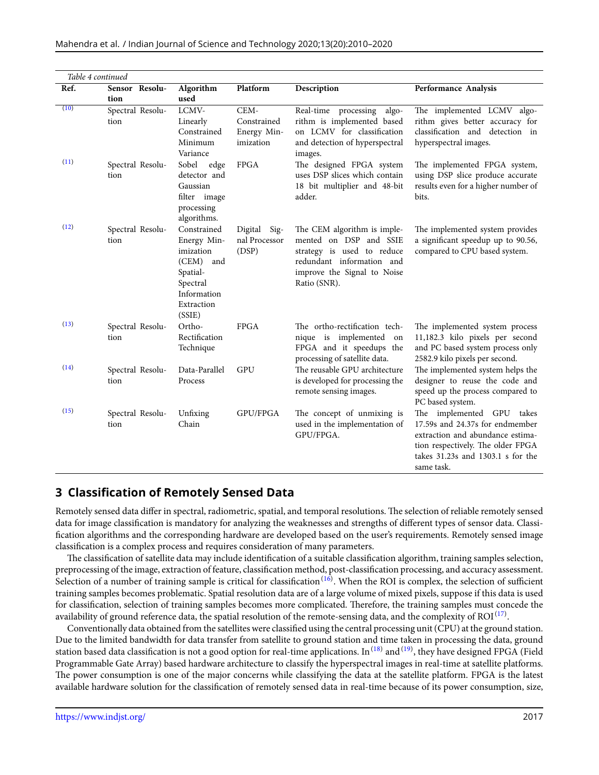|      | Table 4 continued        |                                                                                                                     |                                                 |                                                                                                                                                                 |                                                                                                                                                                                          |  |  |  |
|------|--------------------------|---------------------------------------------------------------------------------------------------------------------|-------------------------------------------------|-----------------------------------------------------------------------------------------------------------------------------------------------------------------|------------------------------------------------------------------------------------------------------------------------------------------------------------------------------------------|--|--|--|
| Ref. | Sensor Resolu-           | Algorithm                                                                                                           | Platform                                        | Description                                                                                                                                                     | Performance Analysis                                                                                                                                                                     |  |  |  |
| (10) | tion                     | used                                                                                                                |                                                 |                                                                                                                                                                 |                                                                                                                                                                                          |  |  |  |
|      | Spectral Resolu-<br>tion | LCMV-<br>Linearly<br>Constrained<br>Minimum<br>Variance                                                             | CEM-<br>Constrained<br>Energy Min-<br>imization | Real-time processing<br>algo-<br>rithm is implemented based<br>on LCMV for classification<br>and detection of hyperspectral<br>images.                          | The implemented LCMV algo-<br>rithm gives better accuracy for<br>classification and detection in<br>hyperspectral images.                                                                |  |  |  |
| (11) | Spectral Resolu-<br>tion | Sobel<br>edge<br>detector and<br>Gaussian<br>filter image<br>processing<br>algorithms.                              | <b>FPGA</b>                                     | The designed FPGA system<br>uses DSP slices which contain<br>18 bit multiplier and 48-bit<br>adder.                                                             | The implemented FPGA system,<br>using DSP slice produce accurate<br>results even for a higher number of<br>bits.                                                                         |  |  |  |
| (12) | Spectral Resolu-<br>tion | Constrained<br>Energy Min-<br>imization<br>(CEM) and<br>Spatial-<br>Spectral<br>Information<br>Extraction<br>(SSIE) | Digital<br>Sig-<br>nal Processor<br>(DSP)       | The CEM algorithm is imple-<br>mented on DSP and SSIE<br>strategy is used to reduce<br>redundant information and<br>improve the Signal to Noise<br>Ratio (SNR). | The implemented system provides<br>a significant speedup up to 90.56,<br>compared to CPU based system.                                                                                   |  |  |  |
| (13) | Spectral Resolu-<br>tion | Ortho-<br>Rectification<br>Technique                                                                                | <b>FPGA</b>                                     | The ortho-rectification tech-<br>nique is implemented on<br>FPGA and it speedups the<br>processing of satellite data.                                           | The implemented system process<br>11,182.3 kilo pixels per second<br>and PC based system process only<br>2582.9 kilo pixels per second.                                                  |  |  |  |
| (14) | Spectral Resolu-<br>tion | Data-Parallel<br>Process                                                                                            | <b>GPU</b>                                      | The reusable GPU architecture<br>is developed for processing the<br>remote sensing images.                                                                      | The implemented system helps the<br>designer to reuse the code and<br>speed up the process compared to<br>PC based system.                                                               |  |  |  |
| (15) | Spectral Resolu-<br>tion | Unfixing<br>Chain                                                                                                   | GPU/FPGA                                        | The concept of unmixing is<br>used in the implementation of<br>GPU/FPGA.                                                                                        | The implemented GPU takes<br>17.59s and 24.37s for endmember<br>extraction and abundance estima-<br>tion respectively. The older FPGA<br>takes 31.23s and 1303.1 s for the<br>same task. |  |  |  |

# **3 Classification of Remotely Sensed Data**

Remotely sensed data differ in spectral, radiometric, spatial, and temporal resolutions. The selection of reliable remotely sensed data for image classification is mandatory for analyzing the weaknesses and strengths of different types of sensor data. Classification algorithms and the corresponding hardware are developed based on the user's requirements. Remotely sensed image classification is a complex process and requires consideration of many parameters.

The classification of satellite data may include identification of a suitable classification algorithm, training samples selection, preprocessing of the image, extraction of feature, classification method, post-classification processing, and accuracy assessment. Selection of a number of training sample is critical for classification<sup>([16\)](#page-10-15)</sup>. When the ROI is complex, the selection of sufficient training samples becomes problematic. Spatial resolution data are of a large volume of mixed pixels, suppose if this data is used for classification, selection of training samples becomes more complicated. Therefore, the training samples must concede the availability of ground reference data, the spatial resolution of the remote-sensing data, and the complexity of ROI  $^{(17)}$  $^{(17)}$  $^{(17)}$ .

Conventionally data obtained from the satellites were classified using the central processing unit (CPU) at the ground station. Due to the limited bandwidth for data transfer from satellite to ground station and time taken in processing the data, ground station based data classification is not a good option for real-time applications. In  $^{(18)}$  $^{(18)}$  $^{(18)}$  and  $^{(19)}$  $^{(19)}$  $^{(19)}$ , they have designed FPGA (Field Programmable Gate Array) based hardware architecture to classify the hyperspectral images in real-time at satellite platforms. The power consumption is one of the major concerns while classifying the data at the satellite platform. FPGA is the latest available hardware solution for the classification of remotely sensed data in real-time because of its power consumption, size,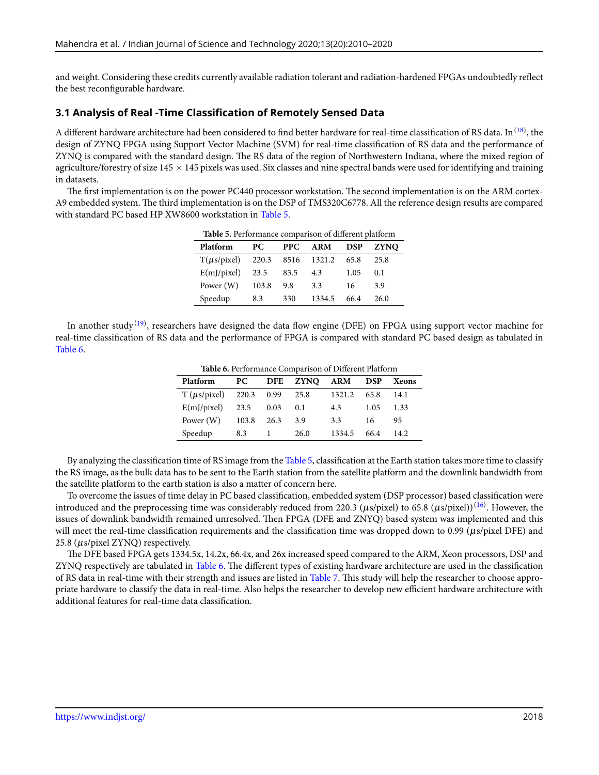and weight. Considering these credits currently available radiation tolerant and radiation-hardened FPGAs undoubtedly reflect the best reconfigurable hardware.

### **3.1 Analysis of Real -Time Classification of Remotely Sensed Data**

A different hardware architecture had been considered to find better hardware for real-time classification of RS data. In  $^{(18)}$  $^{(18)}$  $^{(18)}$ , the design of ZYNQ FPGA using Support Vector Machine (SVM) for real-time classification of RS data and the performance of ZYNQ is compared with the standard design. The RS data of the region of Northwestern Indiana, where the mixed region of agriculture/forestry of size 145 *×* 145 pixels was used. Six classes and nine spectral bands were used for identifying and training in datasets.

<span id="page-8-0"></span>The first implementation is on the power PC440 processor workstation. The second implementation is on the ARM cortex-A9 embedded system. The third implementation is on the DSP of TMS320C6778. All the reference design results are compared with standard PC based HP XW8600 workstation in Table [5.](#page-8-0)

| Table 5. Performance comparison of different platform |       |            |            |            |             |  |  |
|-------------------------------------------------------|-------|------------|------------|------------|-------------|--|--|
| Platform                                              | PС    | <b>PPC</b> | <b>ARM</b> | <b>DSP</b> | <b>ZYNO</b> |  |  |
| $T(\mu s / \text{pixel})$                             | 220.3 | 8516       | 1321.2     | 65.8       | 25.8        |  |  |
| E(m]/pixel)                                           | 23.5  | 83.5       | 4.3        | 1.05       | 0.1         |  |  |
| Power (W)                                             | 103.8 | 9.8        | 3.3        | 16         | 3.9         |  |  |
| Speedup                                               | 8.3   | 330        | 1334.5     | 66.4       | 26.0        |  |  |

<span id="page-8-1"></span>In another study<sup>([19\)](#page-10-18)</sup>, researchers have designed the data flow engine (DFE) on FPGA using support vector machine for real-time classification of RS data and the performance of FPGA is compared with standard PC based design as tabulated in Table [6](#page-8-1).

**Table 6.** Performance Comparison of Different Platform

| <b>Platform</b>           | PC.   |      | DFE ZYNQ ARM DSP |        |      | Xeons |
|---------------------------|-------|------|------------------|--------|------|-------|
| $T (us/pixel)$ 220.3 0.99 |       |      | 25.8             | 1321.2 | 65.8 | 14.1  |
| $E(mJ/pixel)$ 23.5        |       | 0.03 | 0.1              | 4.3    | 1.05 | 1.33  |
| Power (W)                 | 103.8 | 26.3 | 3.9              | 3.3    | 16   | 95    |
| Speedup                   | 8.3   |      | 26.0             | 1334.5 | 66.4 | 14.2  |

By analyzing the classification time of RS image from the Table [5](#page-8-0), classification at the Earth station takes more time to classify the RS image, as the bulk data has to be sent to the Earth station from the satellite platform and the downlink bandwidth from the satellite platform to the earth station is also a matter of concern here.

To overcome the issues of time delay in PC based classification, embedded system (DSP processor) based classification were introduced and the preprocessing time was considerably reduced from 220.3 ( $\mu$ s/pixel) to 65.8 ( $\mu$ s/pixel)) $^{(16)}$  $^{(16)}$  $^{(16)}$ . However, the issues of downlink bandwidth remained unresolved. Then FPGA (DFE and ZNYQ) based system was implemented and this will meet the real-time classification requirements and the classification time was dropped down to 0.99 (µs/pixel DFE) and 25.8 (µs/pixel ZYNQ) respectively.

The DFE based FPGA gets 1334.5x, 14.2x, 66.4x, and 26x increased speed compared to the ARM, Xeon processors, DSP and ZYNQ respectively are tabulated in Table [6](#page-8-1). The different types of existing hardware architecture are used in the classification of RS data in real-time with their strength and issues are listed in Table [7](#page-9-0). This study will help the researcher to choose appropriate hardware to classify the data in real-time. Also helps the researcher to develop new efficient hardware architecture with additional features for real-time data classification.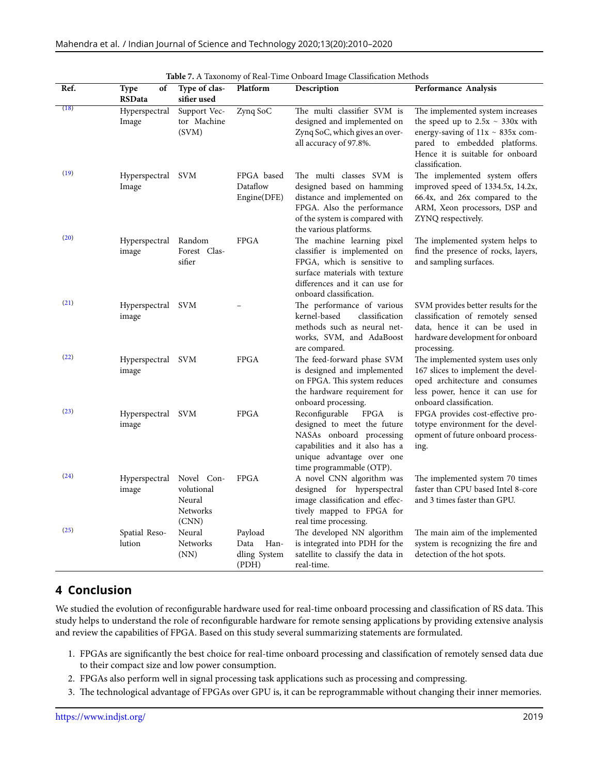<span id="page-9-0"></span>

| Table 7. A Taxonomy of Real-Time Onboard Image Classification Methods |                                    |                                                         |                                                  |                                                                                                                                                                                          |                                                                                                                                                                                                           |
|-----------------------------------------------------------------------|------------------------------------|---------------------------------------------------------|--------------------------------------------------|------------------------------------------------------------------------------------------------------------------------------------------------------------------------------------------|-----------------------------------------------------------------------------------------------------------------------------------------------------------------------------------------------------------|
| Ref.                                                                  | of<br><b>Type</b><br><b>RSData</b> | Type of clas-<br>sifier used                            | Platform                                         | Description                                                                                                                                                                              | Performance Analysis                                                                                                                                                                                      |
| (18)                                                                  | Hyperspectral<br>Image             | Support Vec-<br>tor Machine<br>(SVM)                    | Zynq SoC                                         | The multi classifier SVM is<br>designed and implemented on<br>Zynq SoC, which gives an over-<br>all accuracy of 97.8%.                                                                   | The implemented system increases<br>the speed up to $2.5x \sim 330x$ with<br>energy-saving of $11x \sim 835x$ com-<br>pared to embedded platforms.<br>Hence it is suitable for onboard<br>classification. |
| (19)                                                                  | Hyperspectral SVM<br>Image         |                                                         | FPGA based<br>Dataflow<br>Engine(DFE)            | The multi classes SVM is<br>designed based on hamming<br>distance and implemented on<br>FPGA. Also the performance<br>of the system is compared with<br>the various platforms.           | The implemented system offers<br>improved speed of 1334.5x, 14.2x,<br>66.4x, and 26x compared to the<br>ARM, Xeon processors, DSP and<br>ZYNQ respectively.                                               |
| (20)                                                                  | Hyperspectral<br>image             | Random<br>Forest Clas-<br>sifier                        | <b>FPGA</b>                                      | The machine learning pixel<br>classifier is implemented on<br>FPGA, which is sensitive to<br>surface materials with texture<br>differences and it can use for<br>onboard classification. | The implemented system helps to<br>find the presence of rocks, layers,<br>and sampling surfaces.                                                                                                          |
| (21)                                                                  | Hyperspectral SVM<br>image         |                                                         |                                                  | The performance of various<br>kernel-based<br>classification<br>methods such as neural net-<br>works, SVM, and AdaBoost<br>are compared.                                                 | SVM provides better results for the<br>classification of remotely sensed<br>data, hence it can be used in<br>hardware development for onboard<br>processing.                                              |
| (22)                                                                  | Hyperspectral SVM<br>image         |                                                         | <b>FPGA</b>                                      | The feed-forward phase SVM<br>is designed and implemented<br>on FPGA. This system reduces<br>the hardware requirement for<br>onboard processing.                                         | The implemented system uses only<br>167 slices to implement the devel-<br>oped architecture and consumes<br>less power, hence it can use for<br>onboard classification.                                   |
| (23)                                                                  | Hyperspectral SVM<br>image         |                                                         | <b>FPGA</b>                                      | Reconfigurable<br>FPGA<br>is<br>designed to meet the future<br>NASAs onboard processing<br>capabilities and it also has a<br>unique advantage over one<br>time programmable (OTP).       | FPGA provides cost-effective pro-<br>totype environment for the devel-<br>opment of future onboard process-<br>ing.                                                                                       |
| (24)                                                                  | Hyperspectral<br>image             | Novel Con-<br>volutional<br>Neural<br>Networks<br>(CNN) | <b>FPGA</b>                                      | A novel CNN algorithm was<br>designed for hyperspectral<br>image classification and effec-<br>tively mapped to FPGA for<br>real time processing.                                         | The implemented system 70 times<br>faster than CPU based Intel 8-core<br>and 3 times faster than GPU.                                                                                                     |
| (25)                                                                  | Spatial Reso-<br>lution            | Neural<br>Networks<br>(NN)                              | Payload<br>Han-<br>Data<br>dling System<br>(PDH) | The developed NN algorithm<br>is integrated into PDH for the<br>satellite to classify the data in<br>real-time.                                                                          | The main aim of the implemented<br>system is recognizing the fire and<br>detection of the hot spots.                                                                                                      |

# **4 Conclusion**

We studied the evolution of reconfigurable hardware used for real-time onboard processing and classification of RS data. This study helps to understand the role of reconfigurable hardware for remote sensing applications by providing extensive analysis and review the capabilities of FPGA. Based on this study several summarizing statements are formulated.

- 1. FPGAs are significantly the best choice for real-time onboard processing and classification of remotely sensed data due to their compact size and low power consumption.
- 2. FPGAs also perform well in signal processing task applications such as processing and compressing.
- 3. The technological advantage of FPGAs over GPU is, it can be reprogrammable without changing their inner memories.